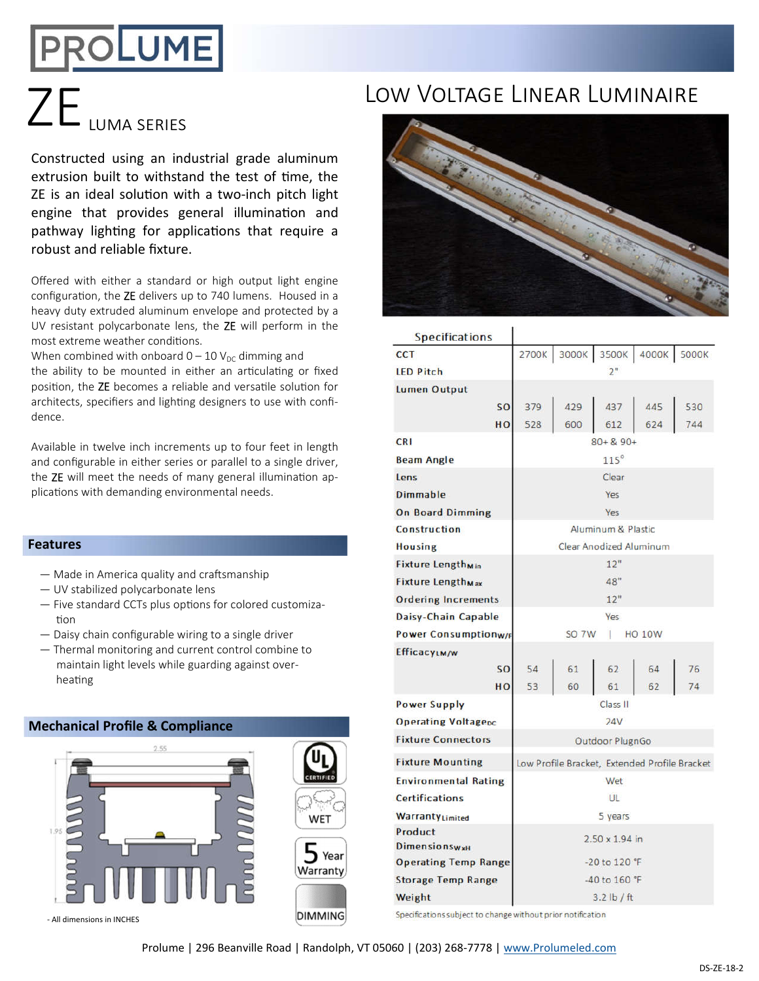# **PROLUME**

Constructed using an industrial grade aluminum extrusion built to withstand the test of time, the ZE is an ideal solution with a two-inch pitch light engine that provides general illumination and pathway lighting for applications that require a robust and reliable fixture.

Offered with either a standard or high output light engine configuration, the ZE delivers up to 740 lumens. Housed in a heavy duty extruded aluminum envelope and protected by a UV resistant polycarbonate lens, the ZE will perform in the most extreme weather conditions.

When combined with onboard  $0 - 10$  V<sub>DC</sub> dimming and the ability to be mounted in either an articulating or fixed position, the ZE becomes a reliable and versatile solution for architects, specifiers and lighting designers to use with confidence.

Available in twelve inch increments up to four feet in length and configurable in either series or parallel to a single driver, the  $ZE$  will meet the needs of many general illumination applications with demanding environmental needs.

### **Features**

- $-$  Made in America quality and craftsmanship
- UV stabilized polycarbonate lens
- $-$  Five standard CCTs plus options for colored customization
- Daisy chain configurable wiring to a single driver
- Thermal monitoring and current control combine to maintain light levels while guarding against overheating

# **Mechanical Profile & Compliance**



# ZE <sub>LUMA SERIES</sub> LOW VOLTAGE LINEAR LUMINAIRE



| <b>Specifications</b>               |                                               |       |       |       |       |
|-------------------------------------|-----------------------------------------------|-------|-------|-------|-------|
| <b>CCT</b>                          | 2700K                                         | 3000K | 3500K | 4000K | 5000K |
| <b>LED Pitch</b>                    | 2"                                            |       |       |       |       |
| Lumen Output                        |                                               |       |       |       |       |
| <b>SO</b>                           | 379                                           | 429   | 437   | 445   | 530   |
| HO                                  | 528                                           | 600   | 612   | 624   | 744   |
| <b>CRI</b>                          | $80 + 8.90 +$                                 |       |       |       |       |
| <b>Beam Angle</b>                   | $115^\circ$                                   |       |       |       |       |
| Lens                                | Clear                                         |       |       |       |       |
| Dimmable                            | Yes                                           |       |       |       |       |
| <b>On Board Dimming</b>             | Yes                                           |       |       |       |       |
| Construction                        | Aluminum & Plastic                            |       |       |       |       |
| <b>Housing</b>                      | <b>Clear Anodized Aluminum</b>                |       |       |       |       |
| <b>Fixture Lengthmin</b>            | 12"                                           |       |       |       |       |
| <b>Fixture Length<sub>Max</sub></b> | 48"                                           |       |       |       |       |
| <b>Ordering Increments</b>          | 12"                                           |       |       |       |       |
| Daisy-Chain Capable                 | Yes                                           |       |       |       |       |
| <b>Power Consumptionw/F</b>         | <b>SO 7W</b><br><b>HO 10W</b><br>ı            |       |       |       |       |
| <b>EfficacyLM/W</b>                 |                                               |       |       |       |       |
| <b>SO</b>                           | 54                                            | 61    | 62    | 64    | 76    |
| HO                                  | 53                                            | 60    | 61    | 62    | 74    |
| <b>Power Supply</b>                 | Class II                                      |       |       |       |       |
| <b>Operating Voltagepc</b>          | 24V                                           |       |       |       |       |
| <b>Fixture Connectors</b>           | Outdoor PlugnGo                               |       |       |       |       |
| <b>Fixture Mounting</b>             | Low Profile Bracket, Extended Profile Bracket |       |       |       |       |
| <b>Environmental Rating</b>         | Wet                                           |       |       |       |       |
| <b>Certifications</b>               | UL                                            |       |       |       |       |
| WarrantyLimited                     | 5 years                                       |       |       |       |       |
| Product<br><b>DimensionswxH</b>     | $2.50 \times 1.94$ in                         |       |       |       |       |
| <b>Operating Temp Range</b>         | -20 to 120 °F                                 |       |       |       |       |
| <b>Storage Temp Range</b>           | $-40$ to 160 °F                               |       |       |       |       |
| Weight                              | $3.2$ lb / ft                                 |       |       |       |       |

Specifications subject to change without prior notification

Prolume | 296 Beanville Road | Randolph, VT 05060 | (203) 268-7778 | www.Prolumeled.com